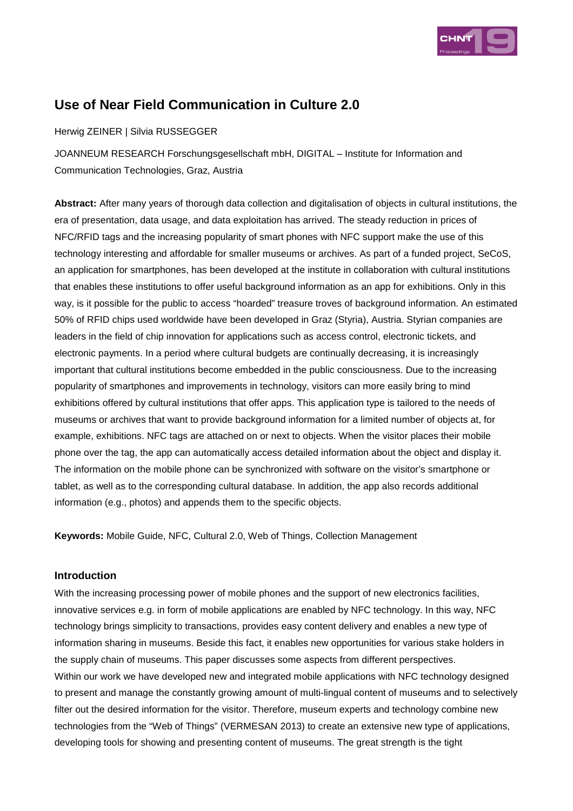

# **Use of Near Field Communication in Culture 2.0**

Herwig ZEINER | Silvia RUSSEGGER

JOANNEUM RESEARCH Forschungsgesellschaft mbH, DIGITAL – Institute for Information and Communication Technologies, Graz, Austria

**Abstract:** After many years of thorough data collection and digitalisation of objects in cultural institutions, the era of presentation, data usage, and data exploitation has arrived. The steady reduction in prices of NFC/RFID tags and the increasing popularity of smart phones with NFC support make the use of this technology interesting and affordable for smaller museums or archives. As part of a funded project, SeCoS, an application for smartphones, has been developed at the institute in collaboration with cultural institutions that enables these institutions to offer useful background information as an app for exhibitions. Only in this way, is it possible for the public to access "hoarded" treasure troves of background information. An estimated 50% of RFID chips used worldwide have been developed in Graz (Styria), Austria. Styrian companies are leaders in the field of chip innovation for applications such as access control, electronic tickets, and electronic payments. In a period where cultural budgets are continually decreasing, it is increasingly important that cultural institutions become embedded in the public consciousness. Due to the increasing popularity of smartphones and improvements in technology, visitors can more easily bring to mind exhibitions offered by cultural institutions that offer apps. This application type is tailored to the needs of museums or archives that want to provide background information for a limited number of objects at, for example, exhibitions. NFC tags are attached on or next to objects. When the visitor places their mobile phone over the tag, the app can automatically access detailed information about the object and display it. The information on the mobile phone can be synchronized with software on the visitor's smartphone or tablet, as well as to the corresponding cultural database. In addition, the app also records additional information (e.g., photos) and appends them to the specific objects.

**Keywords:** Mobile Guide, NFC, Cultural 2.0, Web of Things, Collection Management

### **Introduction**

With the increasing processing power of mobile phones and the support of new electronics facilities, innovative services e.g. in form of mobile applications are enabled by NFC technology. In this way, NFC technology brings simplicity to transactions, provides easy content delivery and enables a new type of information sharing in museums. Beside this fact, it enables new opportunities for various stake holders in the supply chain of museums. This paper discusses some aspects from different perspectives. Within our work we have developed new and integrated mobile applications with NFC technology designed to present and manage the constantly growing amount of multi-lingual content of museums and to selectively filter out the desired information for the visitor. Therefore, museum experts and technology combine new technologies from the "Web of Things" (VERMESAN 2013) to create an extensive new type of applications, developing tools for showing and presenting content of museums. The great strength is the tight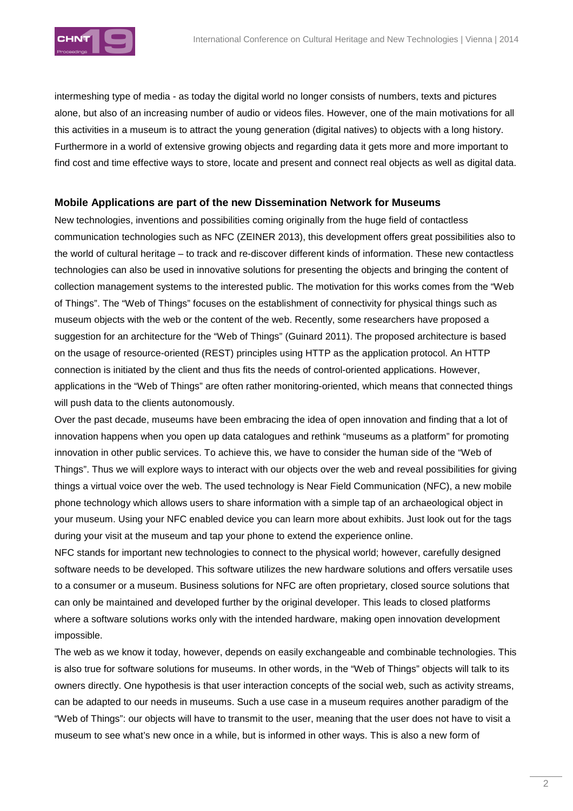

intermeshing type of media - as today the digital world no longer consists of numbers, texts and pictures alone, but also of an increasing number of audio or videos files. However, one of the main motivations for all this activities in a museum is to attract the young generation (digital natives) to objects with a long history. Furthermore in a world of extensive growing objects and regarding data it gets more and more important to find cost and time effective ways to store, locate and present and connect real objects as well as digital data.

#### **Mobile Applications are part of the new Dissemination Network for Museums**

New technologies, inventions and possibilities coming originally from the huge field of contactless communication technologies such as NFC (ZEINER 2013), this development offers great possibilities also to the world of cultural heritage – to track and re-discover different kinds of information. These new contactless technologies can also be used in innovative solutions for presenting the objects and bringing the content of collection management systems to the interested public. The motivation for this works comes from the "Web of Things". The "Web of Things" focuses on the establishment of connectivity for physical things such as museum objects with the web or the content of the web. Recently, some researchers have proposed a suggestion for an architecture for the "Web of Things" (Guinard 2011). The proposed architecture is based on the usage of resource-oriented (REST) principles using HTTP as the application protocol. An HTTP connection is initiated by the client and thus fits the needs of control-oriented applications. However, applications in the "Web of Things" are often rather monitoring-oriented, which means that connected things will push data to the clients autonomously.

Over the past decade, museums have been embracing the idea of open innovation and finding that a lot of innovation happens when you open up data catalogues and rethink "museums as a platform" for promoting innovation in other public services. To achieve this, we have to consider the human side of the "Web of Things". Thus we will explore ways to interact with our objects over the web and reveal possibilities for giving things a virtual voice over the web. The used technology is Near Field Communication (NFC), a new mobile phone technology which allows users to share information with a simple tap of an archaeological object in your museum. Using your NFC enabled device you can learn more about exhibits. Just look out for the tags during your visit at the museum and tap your phone to extend the experience online.

NFC stands for important new technologies to connect to the physical world; however, carefully designed software needs to be developed. This software utilizes the new hardware solutions and offers versatile uses to a consumer or a museum. Business solutions for NFC are often proprietary, closed source solutions that can only be maintained and developed further by the original developer. This leads to closed platforms where a software solutions works only with the intended hardware, making open innovation development impossible.

The web as we know it today, however, depends on easily exchangeable and combinable technologies. This is also true for software solutions for museums. In other words, in the "Web of Things" objects will talk to its owners directly. One hypothesis is that user interaction concepts of the social web, such as activity streams, can be adapted to our needs in museums. Such a use case in a museum requires another paradigm of the "Web of Things": our objects will have to transmit to the user, meaning that the user does not have to visit a museum to see what's new once in a while, but is informed in other ways. This is also a new form of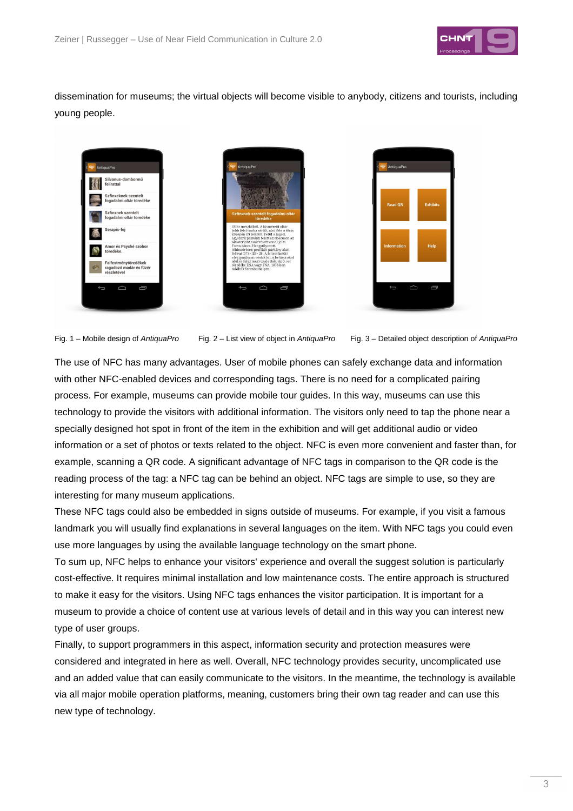

dissemination for museums; the virtual objects will become visible to anybody, citizens and tourists, including young people.



Fig. 1 – Mobile design of AntiquaPro Fig. 2 – List view of object in AntiquaPro Fig. 3 – Detailed object description of AntiquaPro

The use of NFC has many advantages. User of mobile phones can safely exchange data and information with other NFC-enabled devices and corresponding tags. There is no need for a complicated pairing process. For example, museums can provide mobile tour guides. In this way, museums can use this technology to provide the visitors with additional information. The visitors only need to tap the phone near a specially designed hot spot in front of the item in the exhibition and will get additional audio or video information or a set of photos or texts related to the object. NFC is even more convenient and faster than, for example, scanning a QR code. A significant advantage of NFC tags in comparison to the QR code is the reading process of the tag: a NFC tag can be behind an object. NFC tags are simple to use, so they are interesting for many museum applications.

These NFC tags could also be embedded in signs outside of museums. For example, if you visit a famous landmark you will usually find explanations in several languages on the item. With NFC tags you could even use more languages by using the available language technology on the smart phone.

To sum up, NFC helps to enhance your visitors' experience and overall the suggest solution is particularly cost-effective. It requires minimal installation and low maintenance costs. The entire approach is structured to make it easy for the visitors. Using NFC tags enhances the visitor participation. It is important for a museum to provide a choice of content use at various levels of detail and in this way you can interest new type of user groups.

Finally, to support programmers in this aspect, information security and protection measures were considered and integrated in here as well. Overall, NFC technology provides security, uncomplicated use and an added value that can easily communicate to the visitors. In the meantime, the technology is available via all major mobile operation platforms, meaning, customers bring their own tag reader and can use this new type of technology.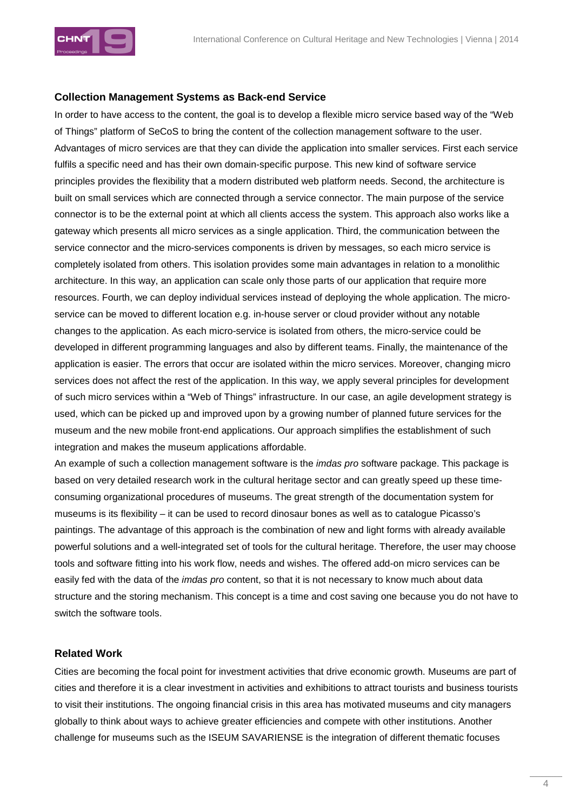

### **Collection Management Systems as Back-end Service**

In order to have access to the content, the goal is to develop a flexible micro service based way of the "Web of Things" platform of SeCoS to bring the content of the collection management software to the user. Advantages of micro services are that they can divide the application into smaller services. First each service fulfils a specific need and has their own domain-specific purpose. This new kind of software service principles provides the flexibility that a modern distributed web platform needs. Second, the architecture is built on small services which are connected through a service connector. The main purpose of the service connector is to be the external point at which all clients access the system. This approach also works like a gateway which presents all micro services as a single application. Third, the communication between the service connector and the micro-services components is driven by messages, so each micro service is completely isolated from others. This isolation provides some main advantages in relation to a monolithic architecture. In this way, an application can scale only those parts of our application that require more resources. Fourth, we can deploy individual services instead of deploying the whole application. The microservice can be moved to different location e.g. in-house server or cloud provider without any notable changes to the application. As each micro-service is isolated from others, the micro-service could be developed in different programming languages and also by different teams. Finally, the maintenance of the application is easier. The errors that occur are isolated within the micro services. Moreover, changing micro services does not affect the rest of the application. In this way, we apply several principles for development of such micro services within a "Web of Things" infrastructure. In our case, an agile development strategy is used, which can be picked up and improved upon by a growing number of planned future services for the museum and the new mobile front-end applications. Our approach simplifies the establishment of such integration and makes the museum applications affordable.

An example of such a collection management software is the *imdas pro* software package. This package is based on very detailed research work in the cultural heritage sector and can greatly speed up these timeconsuming organizational procedures of museums. The great strength of the documentation system for museums is its flexibility – it can be used to record dinosaur bones as well as to catalogue Picasso's paintings. The advantage of this approach is the combination of new and light forms with already available powerful solutions and a well-integrated set of tools for the cultural heritage. Therefore, the user may choose tools and software fitting into his work flow, needs and wishes. The offered add-on micro services can be easily fed with the data of the *imdas pro* content, so that it is not necessary to know much about data structure and the storing mechanism. This concept is a time and cost saving one because you do not have to switch the software tools.

### **Related Work**

Cities are becoming the focal point for investment activities that drive economic growth. Museums are part of cities and therefore it is a clear investment in activities and exhibitions to attract tourists and business tourists to visit their institutions. The ongoing financial crisis in this area has motivated museums and city managers globally to think about ways to achieve greater efficiencies and compete with other institutions. Another challenge for museums such as the ISEUM SAVARIENSE is the integration of different thematic focuses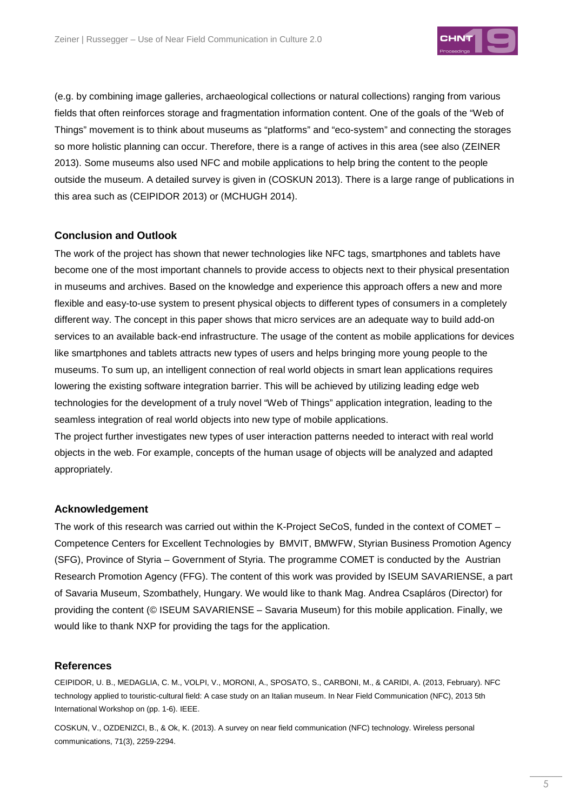

(e.g. by combining image galleries, archaeological collections or natural collections) ranging from various fields that often reinforces storage and fragmentation information content. One of the goals of the "Web of Things" movement is to think about museums as "platforms" and "eco-system" and connecting the storages so more holistic planning can occur. Therefore, there is a range of actives in this area (see also (ZEINER 2013). Some museums also used NFC and mobile applications to help bring the content to the people outside the museum. A detailed survey is given in (COSKUN 2013). There is a large range of publications in this area such as (CEIPIDOR 2013) or (MCHUGH 2014).

## **Conclusion and Outlook**

The work of the project has shown that newer technologies like NFC tags, smartphones and tablets have become one of the most important channels to provide access to objects next to their physical presentation in museums and archives. Based on the knowledge and experience this approach offers a new and more flexible and easy-to-use system to present physical objects to different types of consumers in a completely different way. The concept in this paper shows that micro services are an adequate way to build add-on services to an available back-end infrastructure. The usage of the content as mobile applications for devices like smartphones and tablets attracts new types of users and helps bringing more young people to the museums. To sum up, an intelligent connection of real world objects in smart lean applications requires lowering the existing software integration barrier. This will be achieved by utilizing leading edge web technologies for the development of a truly novel "Web of Things" application integration, leading to the seamless integration of real world objects into new type of mobile applications.

The project further investigates new types of user interaction patterns needed to interact with real world objects in the web. For example, concepts of the human usage of objects will be analyzed and adapted appropriately.

#### **Acknowledgement**

The work of this research was carried out within the K-Project SeCoS, funded in the context of COMET – Competence Centers for Excellent Technologies by BMVIT, BMWFW, Styrian Business Promotion Agency (SFG), Province of Styria – Government of Styria. The programme COMET is conducted by the Austrian Research Promotion Agency (FFG). The content of this work was provided by ISEUM SAVARIENSE, a part of Savaria Museum, Szombathely, Hungary. We would like to thank Mag. Andrea Csapláros (Director) for providing the content (© ISEUM SAVARIENSE – Savaria Museum) for this mobile application. Finally, we would like to thank NXP for providing the tags for the application.

#### **References**

CEIPIDOR, U. B., MEDAGLIA, C. M., VOLPI, V., MORONI, A., SPOSATO, S., CARBONI, M., & CARIDI, A. (2013, February). NFC technology applied to touristic-cultural field: A case study on an Italian museum. In Near Field Communication (NFC), 2013 5th International Workshop on (pp. 1-6). IEEE.

COSKUN, V., OZDENIZCI, B., & Ok, K. (2013). A survey on near field communication (NFC) technology. Wireless personal communications, 71(3), 2259-2294.